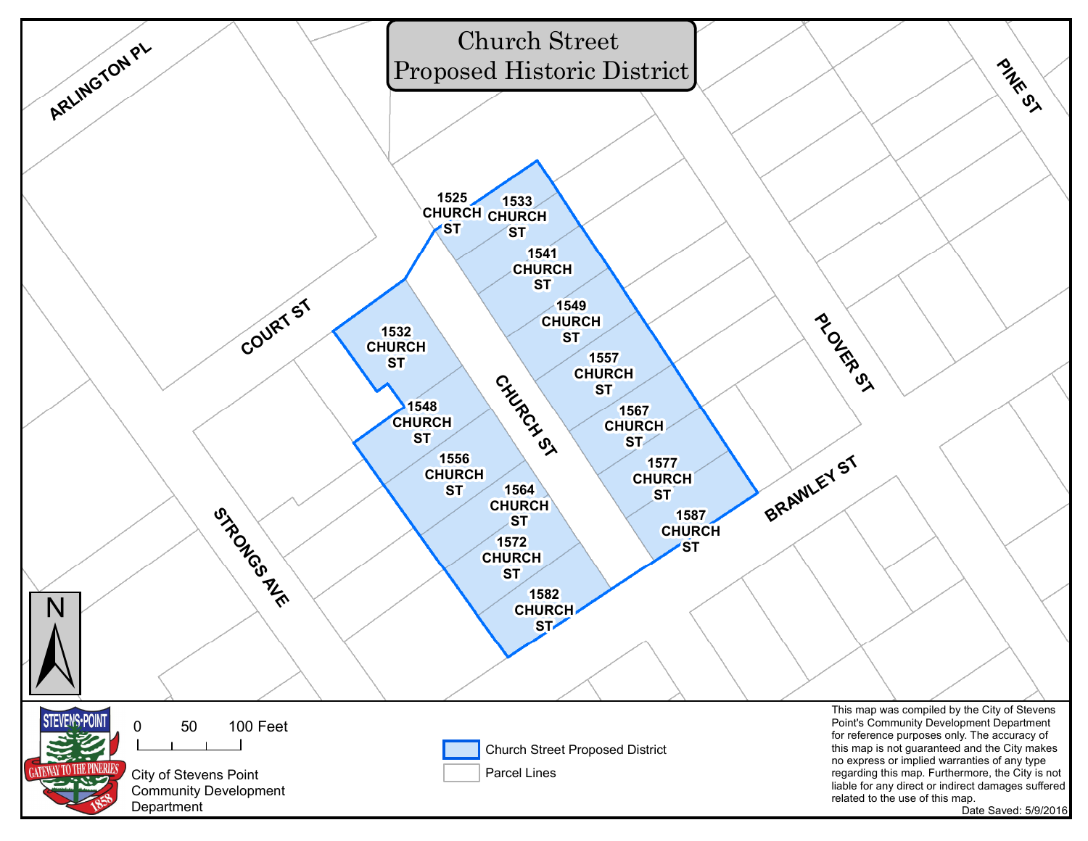